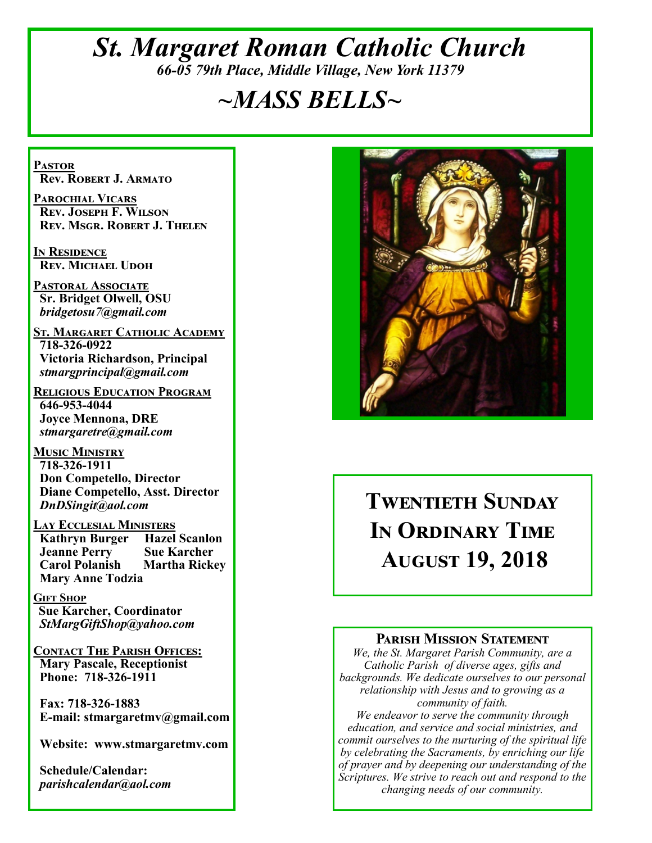## *St. Margaret Roman Catholic Church 66-05 79th Place, Middle Village, New York 11379*

# *~MASS BELLS~*

**Pastor Rev. Robert J. Armato**

**Parochial Vicars Rev. Joseph F. Wilson Rev. Msgr. Robert J. Thelen**

**In Residence Rev. Michael Udoh**

**Pastoral Associate Sr. Bridget Olwell, OSU**  *bridgetosu7@gmail.com*

**St. Margaret Catholic Academy 718-326-0922 Victoria Richardson, Principal**  *stmargprincipal@gmail.com*

**Religious Education Program 646-953-4044 Joyce Mennona, DRE** *stmargaretre@gmail.com*

**Music Ministry 718-326-1911 Don Competello, Director Diane Competello, Asst. Director** *DnDSingit@aol.com*

**Lay Ecclesial Ministers Kathryn Burger Jeanne Perry Sue Karcher Carol Polanish Martha Rickey Mary Anne Todzia**

**Gift Shop Sue Karcher, Coordinator** *StMargGiftShop@yahoo.com*

**Contact The Parish Offices: Mary Pascale, Receptionist Phone: 718-326-1911** 

 **Fax: 718-326-1883 E-mail: stmargaretmv@gmail.com**

 **Website: www.stmargaretmv.com**

 **Schedule/Calendar:** *parishcalendar@aol.com* 



# **Twentieth Sunday In Ordinary Time August 19, 2018**

#### **Parish Mission Statement**

*We, the St. Margaret Parish Community, are a Catholic Parish of diverse ages, gifts and backgrounds. We dedicate ourselves to our personal relationship with Jesus and to growing as a community of faith.*

*We endeavor to serve the community through education, and service and social ministries, and commit ourselves to the nurturing of the spiritual life by celebrating the Sacraments, by enriching our life of prayer and by deepening our understanding of the Scriptures. We strive to reach out and respond to the changing needs of our community.*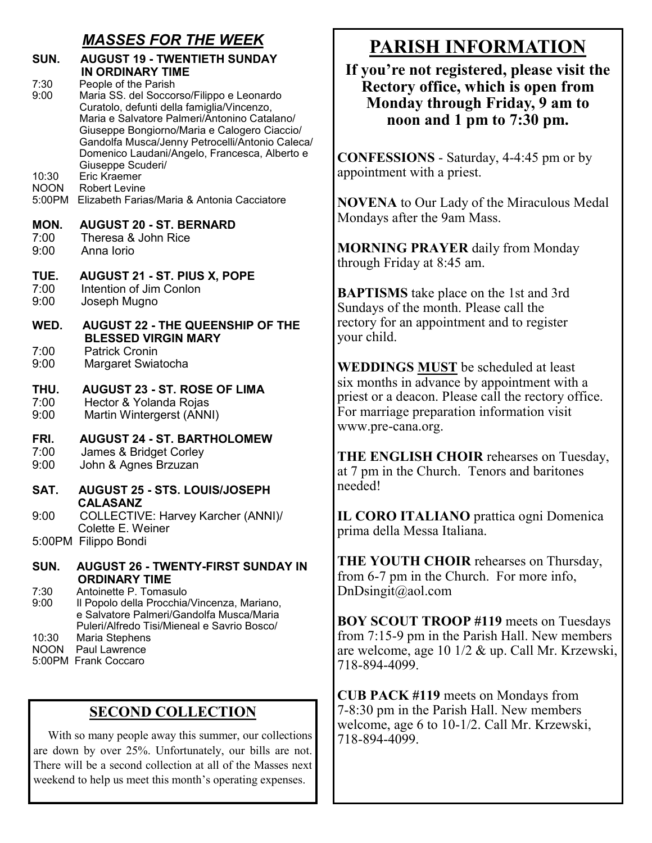## *MASSES FOR THE WEEK*

| SUN.                           | <b>AUGUST 19 - TWENTIETH SUNDAY</b><br>IN ORDINARY TIME                                                                                                                                                                                                                                                                                  |
|--------------------------------|------------------------------------------------------------------------------------------------------------------------------------------------------------------------------------------------------------------------------------------------------------------------------------------------------------------------------------------|
| 7:30<br>9:00                   | People of the Parish<br>Maria SS. del Soccorso/Filippo e Leonardo<br>Curatolo, defunti della famiglia/Vincenzo,<br>Maria e Salvatore Palmeri/Antonino Catalano/<br>Giuseppe Bongiorno/Maria e Calogero Ciaccio/<br>Gandolfa Musca/Jenny Petrocelli/Antonio Caleca/<br>Domenico Laudani/Angelo, Francesca, Alberto e<br>Giuseppe Scuderi/ |
| 10:30<br><b>NOON</b><br>5:00PM | Eric Kraemer<br><b>Robert Levine</b><br>Elizabeth Farias/Maria & Antonia Cacciatore                                                                                                                                                                                                                                                      |
| MON.<br>7:00<br>9:00           | <b>AUGUST 20 - ST. BERNARD</b><br>Theresa & John Rice<br>Anna Iorio                                                                                                                                                                                                                                                                      |
| TUE.<br>7:00<br>9:00           | AUGUST 21 - ST. PIUS X, POPE<br>Intention of Jim Conlon<br>Joseph Mugno                                                                                                                                                                                                                                                                  |
| WED.                           | <b>AUGUST 22 - THE QUEENSHIP OF THE</b>                                                                                                                                                                                                                                                                                                  |
| 7:00<br>9:00                   | <b>BLESSED VIRGIN MARY</b><br><b>Patrick Cronin</b><br>Margaret Swiatocha                                                                                                                                                                                                                                                                |
| THU.<br>7:00<br>9:00           | <b>AUGUST 23 - ST. ROSE OF LIMA</b><br>Hector & Yolanda Rojas<br>Martin Wintergerst (ANNI)                                                                                                                                                                                                                                               |
| FRI.<br>7:00<br>9:00           | <b>AUGUST 24 - ST. BARTHOLOMEW</b><br>James & Bridget Corley<br>John & Agnes Brzuzan                                                                                                                                                                                                                                                     |
| SAT.                           | <b>AUGUST 25 - STS. LOUIS/JOSEPH</b>                                                                                                                                                                                                                                                                                                     |
| 9:00                           | <b>CALASANZ</b><br>COLLECTIVE: Harvey Karcher (ANNI)/                                                                                                                                                                                                                                                                                    |
|                                | Colette E. Weiner<br>5:00PM Filippo Bondi                                                                                                                                                                                                                                                                                                |
| SUN.                           | <b>AUGUST 26 - TWENTY-FIRST SUNDAY IN</b>                                                                                                                                                                                                                                                                                                |
| 7:30<br>9:00                   | <b>ORDINARY TIME</b><br>Antoinette P. Tomasulo<br>Il Popolo della Procchia/Vincenza, Mariano,<br>e Salvatore Palmeri/Gandolfa Musca/Maria                                                                                                                                                                                                |
| 10:30                          | Puleri/Alfredo Tisi/Mieneal e Savrio Bosco/<br>Maria Stephens                                                                                                                                                                                                                                                                            |

NOON Paul Lawrence

#### 5:00PM Frank Coccaro

### **SECOND COLLECTION**

 With so many people away this summer, our collections are down by over 25%. Unfortunately, our bills are not. There will be a second collection at all of the Masses next weekend to help us meet this month's operating expenses.

## **PARISH INFORMATION**

**If you're not registered, please visit the Rectory office, which is open from Monday through Friday, 9 am to noon and 1 pm to 7:30 pm.**

**CONFESSIONS** - Saturday, 4-4:45 pm or by appointment with a priest.

**NOVENA** to Our Lady of the Miraculous Medal Mondays after the 9am Mass.

**MORNING PRAYER** daily from Monday through Friday at 8:45 am.

**BAPTISMS** take place on the 1st and 3rd Sundays of the month. Please call the rectory for an appointment and to register your child.

**WEDDINGS MUST** be scheduled at least six months in advance by appointment with a priest or a deacon. Please call the rectory office. For marriage preparation information visit www.pre-cana.org.

**THE ENGLISH CHOIR** rehearses on Tuesday, at 7 pm in the Church. Tenors and baritones needed!

**IL CORO ITALIANO** prattica ogni Domenica prima della Messa Italiana.

**THE YOUTH CHOIR** rehearses on Thursday, from 6-7 pm in the Church. For more info, DnDsingit@aol.com

**BOY SCOUT TROOP #119** meets on Tuesdays from 7:15-9 pm in the Parish Hall. New members are welcome, age 10 1/2 & up. Call Mr. Krzewski, 718-894-4099.

**CUB PACK #119** meets on Mondays from 7-8:30 pm in the Parish Hall. New members welcome, age 6 to 10-1/2. Call Mr. Krzewski, 718-894-4099.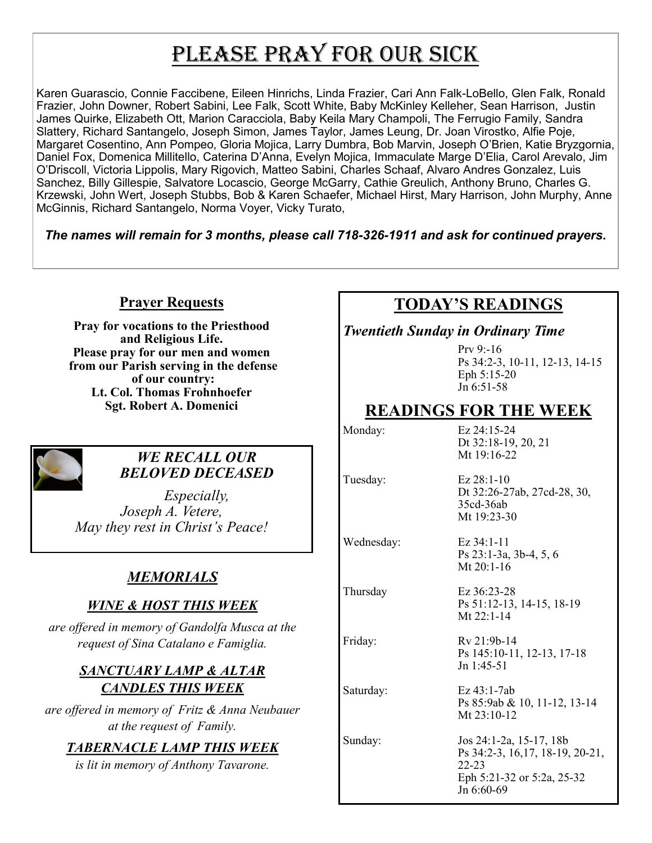# PLEASE PRAY FOR OUR SICK

Karen Guarascio, Connie Faccibene, Eileen Hinrichs, Linda Frazier, Cari Ann Falk-LoBello, Glen Falk, Ronald Frazier, John Downer, Robert Sabini, Lee Falk, Scott White, Baby McKinley Kelleher, Sean Harrison, Justin James Quirke, Elizabeth Ott, Marion Caracciola, Baby Keila Mary Champoli, The Ferrugio Family, Sandra Slattery, Richard Santangelo, Joseph Simon, James Taylor, James Leung, Dr. Joan Virostko, Alfie Poje, Margaret Cosentino, Ann Pompeo, Gloria Mojica, Larry Dumbra, Bob Marvin, Joseph O'Brien, Katie Bryzgornia, Daniel Fox, Domenica Millitello, Caterina D'Anna, Evelyn Mojica, Immaculate Marge D'Elia, Carol Arevalo, Jim O'Driscoll, Victoria Lippolis, Mary Rigovich, Matteo Sabini, Charles Schaaf, Alvaro Andres Gonzalez, Luis Sanchez, Billy Gillespie, Salvatore Locascio, George McGarry, Cathie Greulich, Anthony Bruno, Charles G. Krzewski, John Wert, Joseph Stubbs, Bob & Karen Schaefer, Michael Hirst, Mary Harrison, John Murphy, Anne McGinnis, Richard Santangelo, Norma Voyer, Vicky Turato,

*The names will remain for 3 months, please call 718-326-1911 and ask for continued prayers.*

#### **Prayer Requests**

**Pray for vocations to the Priesthood and Religious Life. Please pray for our men and women from our Parish serving in the defense of our country: Lt. Col. Thomas Frohnhoefer Sgt. Robert A. Domenici** 



#### *WE RECALL OUR BELOVED DECEASED*

*Especially, Joseph A. Vetere, May they rest in Christ's Peace!*

## *MEMORIALS*

### *WINE & HOST THIS WEEK*

*are offered in memory of Gandolfa Musca at the request of Sina Catalano e Famiglia.* 

#### *SANCTUARY LAMP & ALTAR CANDLES THIS WEEK*

*are offered in memory of Fritz & Anna Neubauer at the request of Family.*

### *TABERNACLE LAMP THIS WEEK*

*is lit in memory of Anthony Tavarone.* 

## **TODAY'S READINGS**

#### *Twentieth Sunday in Ordinary Time*

Prv 9:-16 Ps 34:2-3, 10-11, 12-13, 14-15 Eph 5:15-20  $J_n$  6:51-58

## **READINGS FOR THE WEEK**

Monday: Ez 24:15-24

Tuesday: Ez 28:1-10 Dt 32:26-27ab, 27cd-28, 30, 35cd-36ab Mt 19:23-30

Dt 32:18-19, 20, 21 Mt 19:16-22

Wednesday: Ez 34:1-11 Ps 23:1-3a, 3b-4, 5, 6

Mt 20:1-16

Thursday Ez 36:23-28 Ps 51:12-13, 14-15, 18-19 Mt 22:1-14

Friday: Rv 21:9b-14 Ps 145:10-11, 12-13, 17-18 Jn 1:45-51

Saturday: Ez 43:1-7ab Ps 85:9ab & 10, 11-12, 13-14 Mt 23:10-12

Sunday: Jos 24:1-2a, 15-17, 18b Ps 34:2-3, 16,17, 18-19, 20-21, 22-23 Eph 5:21-32 or 5:2a, 25-32 Jn 6:60-69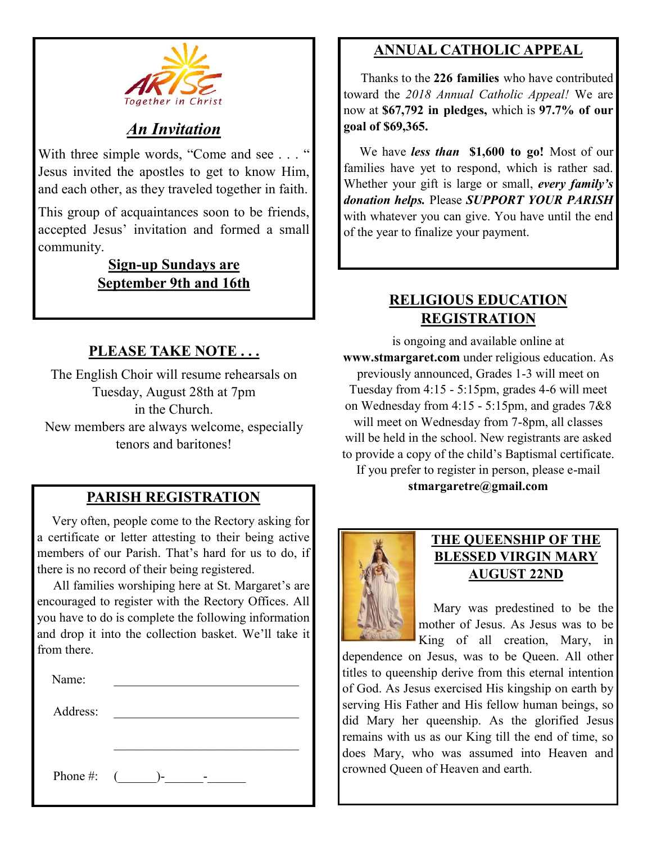

## *An Invitation*

With three simple words, "Come and see . . . " Jesus invited the apostles to get to know Him, and each other, as they traveled together in faith.

This group of acquaintances soon to be friends, accepted Jesus' invitation and formed a small community.

#### **Sign-up Sundays are September 9th and 16th**

## **PLEASE TAKE NOTE . . .**

The English Choir will resume rehearsals on Tuesday, August 28th at 7pm in the Church. New members are always welcome, especially tenors and baritones!

## **PARISH REGISTRATION**

 Very often, people come to the Rectory asking for a certificate or letter attesting to their being active members of our Parish. That's hard for us to do, if there is no record of their being registered.

 All families worshiping here at St. Margaret's are encouraged to register with the Rectory Offices. All you have to do is complete the following information and drop it into the collection basket. We'll take it from there.

| Name:        |    |
|--------------|----|
| Address:     |    |
|              |    |
| Phone #: $($ | )- |

## **ANNUAL CATHOLIC APPEAL**

 Thanks to the **226 families** who have contributed toward the *2018 Annual Catholic Appeal!* We are now at **\$67,792 in pledges,** which is **97.7% of our goal of \$69,365.** 

 We have *less than* **\$1,600 to go!** Most of our families have yet to respond, which is rather sad. Whether your gift is large or small, *every family's donation helps.* Please *SUPPORT YOUR PARISH*  with whatever you can give. You have until the end of the year to finalize your payment.

## **RELIGIOUS EDUCATION REGISTRATION**

is ongoing and available online at **www.stmargaret.com** under religious education. As previously announced, Grades 1-3 will meet on Tuesday from 4:15 - 5:15pm, grades 4-6 will meet on Wednesday from 4:15 - 5:15pm, and grades 7&8 will meet on Wednesday from 7-8pm, all classes will be held in the school. New registrants are asked to provide a copy of the child's Baptismal certificate. If you prefer to register in person, please e-mail

**stmargaretre@gmail.com**



#### **THE QUEENSHIP OF THE BLESSED VIRGIN MARY AUGUST 22ND**

 Mary was predestined to be the mother of Jesus. As Jesus was to be King of all creation, Mary, in

dependence on Jesus, was to be Queen. All other titles to queenship derive from this eternal intention of God. As Jesus exercised His kingship on earth by serving His Father and His fellow human beings, so did Mary her queenship. As the glorified Jesus remains with us as our King till the end of time, so does Mary, who was assumed into Heaven and crowned Queen of Heaven and earth.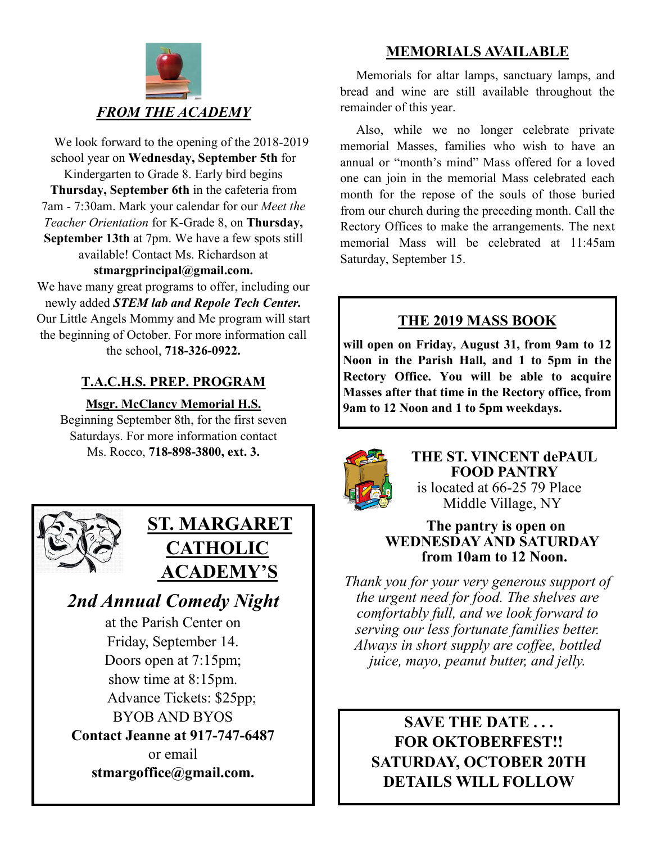

 We look forward to the opening of the 2018-2019 school year on **Wednesday, September 5th** for Kindergarten to Grade 8. Early bird begins **Thursday, September 6th** in the cafeteria from 7am - 7:30am. Mark your calendar for our *Meet the Teacher Orientation* for K-Grade 8, on **Thursday, September 13th** at 7pm. We have a few spots still available! Contact Ms. Richardson at **stmargprincipal@gmail.com.** 

We have many great programs to offer, including our newly added *STEM lab and Repole Tech Center.*  Our Little Angels Mommy and Me program will start the beginning of October. For more information call the school, **718-326-0922.** 

## **T.A.C.H.S. PREP. PROGRAM**

**Msgr. McClancy Memorial H.S.**

Beginning September 8th, for the first seven Saturdays. For more information contact Ms. Rocco, **718-898-3800, ext. 3.**



## **ST. MARGARET CATHOLIC ACADEMY'S**

*2nd Annual Comedy Night* at the Parish Center on Friday, September 14. Doors open at 7:15pm; show time at 8:15pm. Advance Tickets: \$25pp; BYOB AND BYOS **Contact Jeanne at 917-747-6487**  or email

**stmargoffice@gmail.com.**

## **MEMORIALS AVAILABLE**

Memorials for altar lamps, sanctuary lamps, and bread and wine are still available throughout the remainder of this year.

 Also, while we no longer celebrate private memorial Masses, families who wish to have an annual or "month's mind" Mass offered for a loved one can join in the memorial Mass celebrated each month for the repose of the souls of those buried from our church during the preceding month. Call the Rectory Offices to make the arrangements. The next memorial Mass will be celebrated at 11:45am Saturday, September 15.

## **THE 2019 MASS BOOK**

**will open on Friday, August 31, from 9am to 12 Noon in the Parish Hall, and 1 to 5pm in the Rectory Office. You will be able to acquire Masses after that time in the Rectory office, from 9am to 12 Noon and 1 to 5pm weekdays.**



**THE ST. VINCENT dePAUL FOOD PANTRY** is located at 66-25 79 Place Middle Village, NY

#### **The pantry is open on WEDNESDAY AND SATURDAY from 10am to 12 Noon.**

*Thank you for your very generous support of the urgent need for food. The shelves are comfortably full, and we look forward to serving our less fortunate families better. Always in short supply are coffee, bottled juice, mayo, peanut butter, and jelly.*

**SAVE THE DATE . . . FOR OKTOBERFEST!! SATURDAY, OCTOBER 20TH DETAILS WILL FOLLOW**